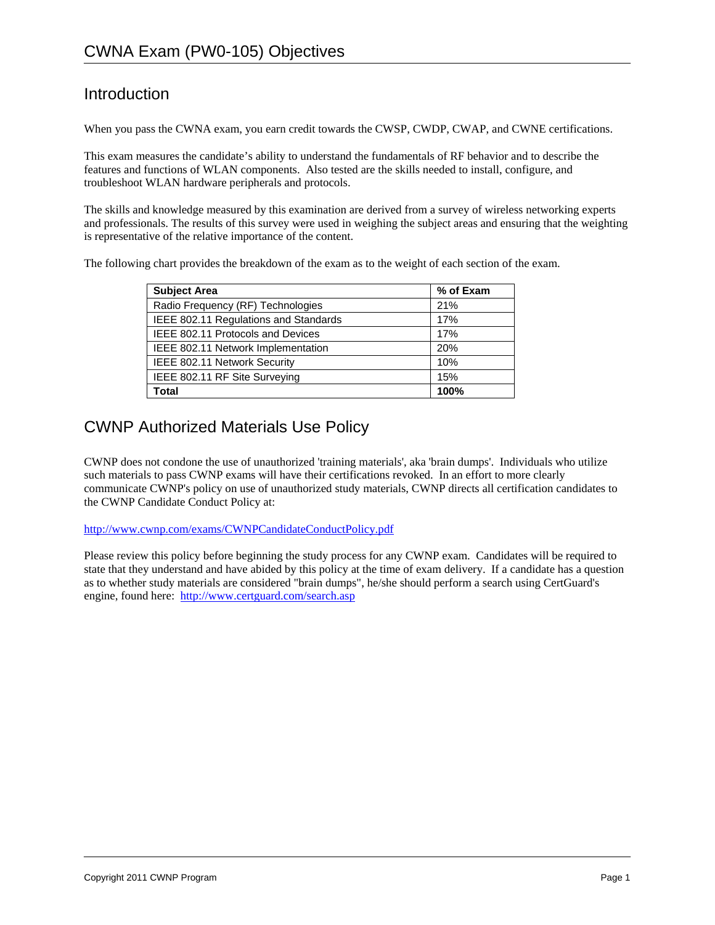# Introduction

When you pass the CWNA exam, you earn credit towards the CWSP, CWDP, CWAP, and CWNE certifications.

This exam measures the candidate's ability to understand the fundamentals of RF behavior and to describe the features and functions of WLAN components. Also tested are the skills needed to install, configure, and troubleshoot WLAN hardware peripherals and protocols.

The skills and knowledge measured by this examination are derived from a survey of wireless networking experts and professionals. The results of this survey were used in weighing the subject areas and ensuring that the weighting is representative of the relative importance of the content.

The following chart provides the breakdown of the exam as to the weight of each section of the exam.

| <b>Subject Area</b>                   | % of Exam |
|---------------------------------------|-----------|
| Radio Frequency (RF) Technologies     | 21%       |
| IEEE 802.11 Regulations and Standards | 17%       |
| IEEE 802.11 Protocols and Devices     | 17%       |
| IEEE 802.11 Network Implementation    | 20%       |
| IEEE 802.11 Network Security          | 10%       |
| IEEE 802.11 RF Site Surveying         | 15%       |
| Total                                 | 100%      |

# CWNP Authorized Materials Use Policy

CWNP does not condone the use of unauthorized 'training materials', aka 'brain dumps'. Individuals who utilize such materials to pass CWNP exams will have their certifications revoked. In an effort to more clearly communicate CWNP's policy on use of unauthorized study materials, CWNP directs all certification candidates to the CWNP Candidate Conduct Policy at:

http://www.cwnp.com/exams/CWNPCandidateConductPolicy.pdf

Please review this policy before beginning the study process for any CWNP exam. Candidates will be required to state that they understand and have abided by this policy at the time of exam delivery. If a candidate has a question as to whether study materials are considered "brain dumps", he/she should perform a search using CertGuard's engine, found here: http://www.certguard.com/search.asp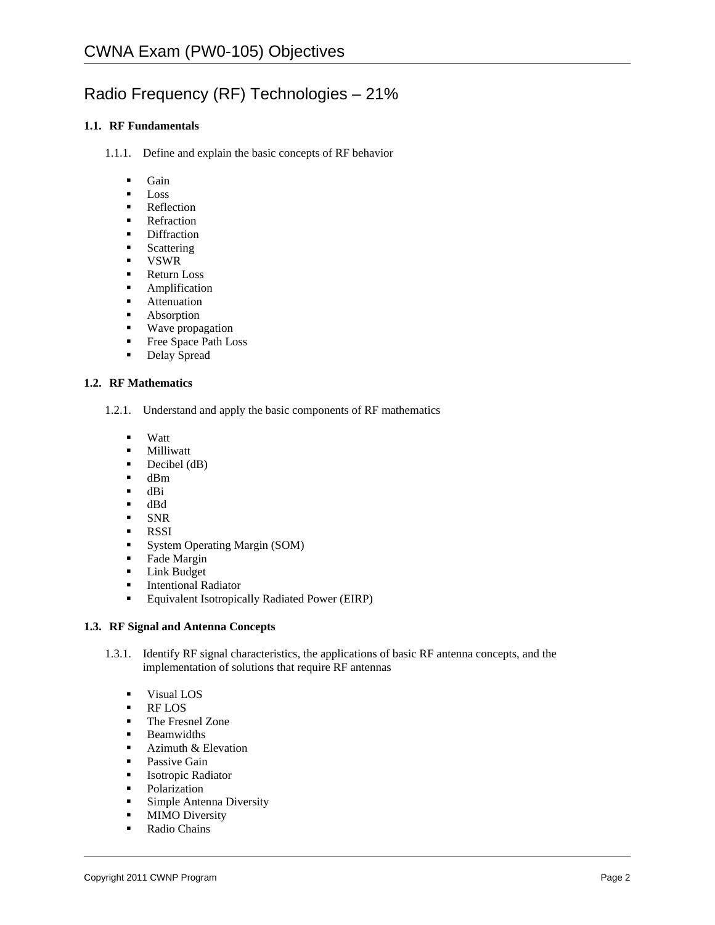# Radio Frequency (RF) Technologies – 21%

# **1.1. RF Fundamentals**

- 1.1.1. Define and explain the basic concepts of RF behavior
	- **Gain**
	- **Loss**
	- **Reflection**
	- **Refraction**
	- Diffraction
	- **Scattering**
	- VSWR
	- Return Loss
	- **Amplification**
	- **Attenuation**
	- Absorption
	- **Wave propagation**
	- Free Space Path Loss
	- **Delay Spread**

#### **1.2. RF Mathematics**

- 1.2.1. Understand and apply the basic components of RF mathematics
	- Watt
	- **-** Milliwatt
	- $\blacksquare$  Decibel (dB)
	- $\blacksquare$  dBm
	- $d\mathbf{B}$ i
	- dBd
	- SNR
	-
	- **RSSI**<br>**B** Syste System Operating Margin (SOM)
	- Fade Margin
	- **Link Budget**
	- **Intentional Radiator**
	- Equivalent Isotropically Radiated Power (EIRP)

### **1.3. RF Signal and Antenna Concepts**

- 1.3.1. Identify RF signal characteristics, the applications of basic RF antenna concepts, and the implementation of solutions that require RF antennas
	- **Visual LOS**
	- RF LOS
	- **The Fresnel Zone**
	- **Beamwidths**
	- **Azimuth & Elevation**
	- Passive Gain
	- **Isotropic Radiator**
	- Polarization
	- **Simple Antenna Diversity**
	- **MIMO** Diversity
	- **Radio Chains**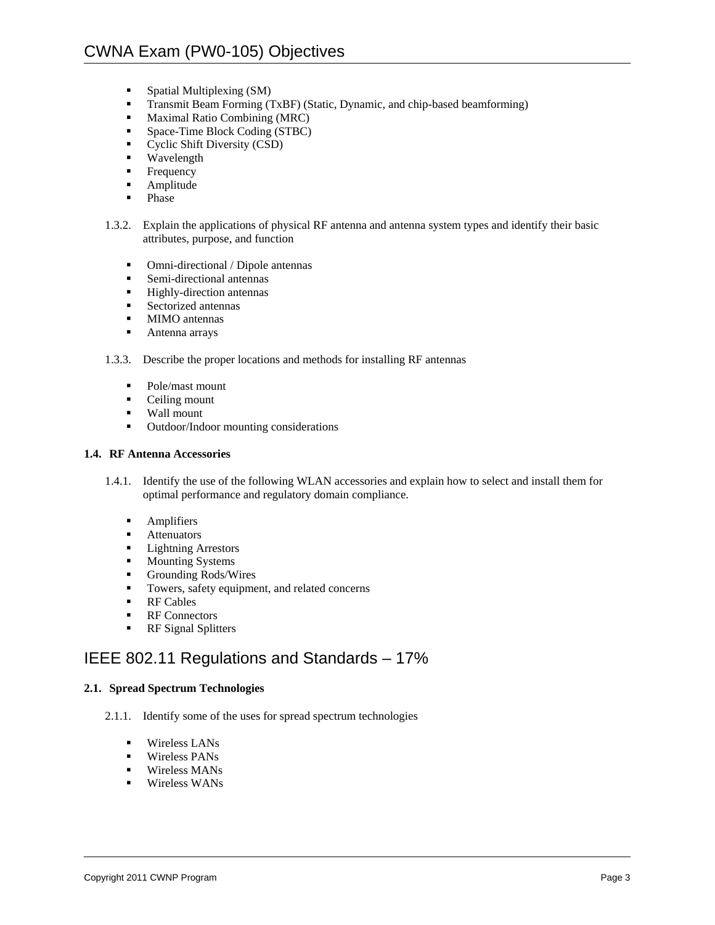- **Spatial Multiplexing (SM)**
- **Transmit Beam Forming (TxBF) (Static, Dynamic, and chip-based beamforming)**
- **Maximal Ratio Combining (MRC)**
- **Space-Time Block Coding (STBC)**
- Cyclic Shift Diversity (CSD)
- **Wavelength**
- **Frequency**
- **Amplitude**
- Phase
- 1.3.2. Explain the applications of physical RF antenna and antenna system types and identify their basic attributes, purpose, and function
	- Omni-directional / Dipole antennas
	- Semi-directional antennas
	- **Highly-direction antennas**
	- **Sectorized antennas**
	- **MIMO** antennas
	- **Antenna arrays**
- 1.3.3. Describe the proper locations and methods for installing RF antennas
	- Pole/mast mount
	- Ceiling mount
	- Wall mount
	- Outdoor/Indoor mounting considerations

#### **1.4. RF Antenna Accessories**

- 1.4.1. Identify the use of the following WLAN accessories and explain how to select and install them for optimal performance and regulatory domain compliance.
	- **Amplifiers**
	- Attenuators<br>• Lightning A
	- Lightning Arrestors
	- **Mounting Systems**
	- Grounding Rods/Wires
	- Towers, safety equipment, and related concerns
	- **RF Cables**
	- **RF** Connectors
	- **RF** Signal Splitters

# IEEE 802.11 Regulations and Standards – 17%

### **2.1. Spread Spectrum Technologies**

- 2.1.1. Identify some of the uses for spread spectrum technologies
	- Wireless LANs
	- **Wireless PANs**
	- **Wireless MANs**
	- **Wireless WANS**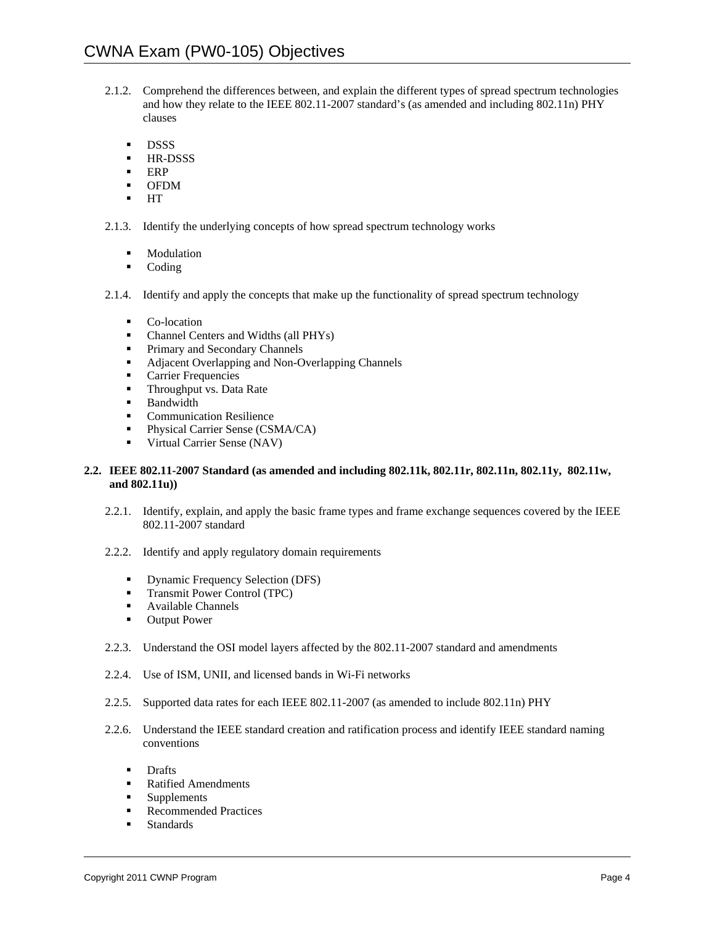- 2.1.2. Comprehend the differences between, and explain the different types of spread spectrum technologies and how they relate to the IEEE 802.11-2007 standard's (as amended and including 802.11n) PHY clauses
	- **DSSS**
	- **HR-DSSS**
	- $ERP$
	- OFDM
	- HT

2.1.3. Identify the underlying concepts of how spread spectrum technology works

- **Modulation**
- Coding
- 2.1.4. Identify and apply the concepts that make up the functionality of spread spectrum technology
	- Co-location
	- Channel Centers and Widths (all PHYs)
	- Primary and Secondary Channels
	- **Adjacent Overlapping and Non-Overlapping Channels**
	- **Carrier Frequencies**
	- **Throughput vs. Data Rate**
	- **Bandwidth**
	- **Communication Resilience**
	- **Physical Carrier Sense (CSMA/CA)**
	- **Virtual Carrier Sense (NAV)**

#### **2.2. IEEE 802.11-2007 Standard (as amended and including 802.11k, 802.11r, 802.11n, 802.11y, 802.11w, and 802.11u))**

- 2.2.1. Identify, explain, and apply the basic frame types and frame exchange sequences covered by the IEEE 802.11-2007 standard
- 2.2.2. Identify and apply regulatory domain requirements
	- Dynamic Frequency Selection (DFS)
	- **Transmit Power Control (TPC)**
	- Available Channels
	- **•** Output Power
- 2.2.3. Understand the OSI model layers affected by the 802.11-2007 standard and amendments
- 2.2.4. Use of ISM, UNII, and licensed bands in Wi-Fi networks
- 2.2.5. Supported data rates for each IEEE 802.11-2007 (as amended to include 802.11n) PHY
- 2.2.6. Understand the IEEE standard creation and ratification process and identify IEEE standard naming conventions
	- **Drafts**
	- **Ratified Amendments**
	- **Supplements**
	- Recommended Practices
	- **Standards**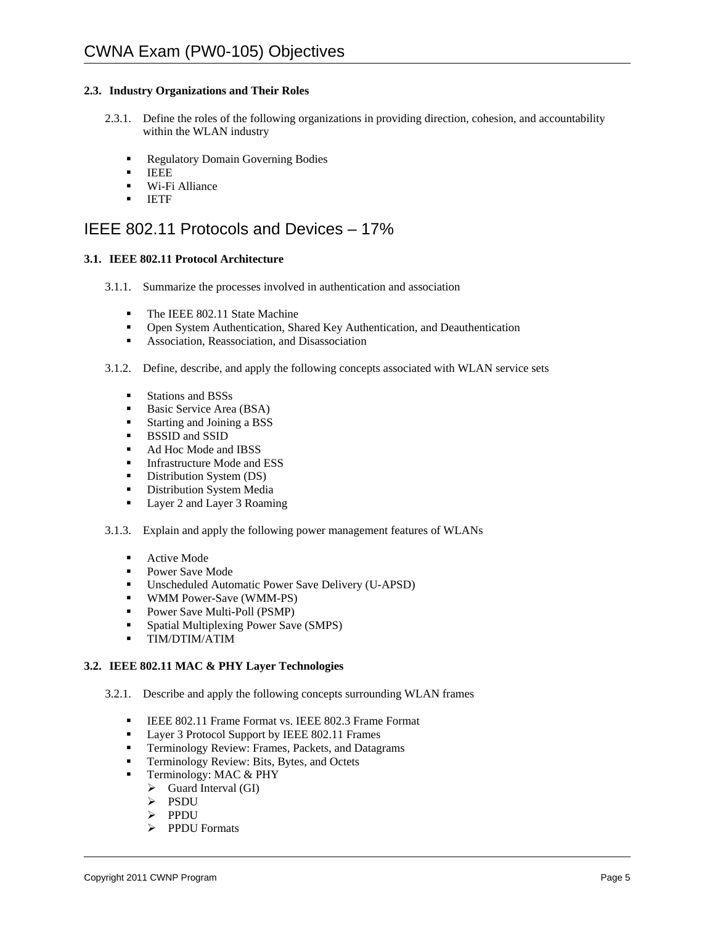# **2.3. Industry Organizations and Their Roles**

- 2.3.1. Define the roles of the following organizations in providing direction, cohesion, and accountability within the WLAN industry
	- **Regulatory Domain Governing Bodies**
	- **IEEE**
	- **Wi-Fi Alliance**
	- **IETF**

# IEEE 802.11 Protocols and Devices – 17%

# **3.1. IEEE 802.11 Protocol Architecture**

- 3.1.1. Summarize the processes involved in authentication and association
	- The IEEE 802.11 State Machine
	- Open System Authentication, Shared Key Authentication, and Deauthentication
	- Association, Reassociation, and Disassociation
- 3.1.2. Define, describe, and apply the following concepts associated with WLAN service sets
	- Stations and BSSs
	- Basic Service Area (BSA)
	- Starting and Joining a BSS
	- **BSSID and SSID**
	- Ad Hoc Mode and IBSS
	- **Infrastructure Mode and ESS**
	- Distribution System (DS)
	- **Distribution System Media**
	- Layer 2 and Layer 3 Roaming
- 3.1.3. Explain and apply the following power management features of WLANs
	- Active Mode
	- **Power Save Mode**
	- Unscheduled Automatic Power Save Delivery (U-APSD)
	- **WMM Power-Save (WMM-PS)**
	- Power Save Multi-Poll (PSMP)
	- **Spatial Multiplexing Power Save (SMPS)**
	- TIM/DTIM/ATIM

### **3.2. IEEE 802.11 MAC & PHY Layer Technologies**

- 3.2.1. Describe and apply the following concepts surrounding WLAN frames
	- IEEE 802.11 Frame Format vs. IEEE 802.3 Frame Format
	- Layer 3 Protocol Support by IEEE 802.11 Frames
	- **Terminology Review: Frames, Packets, and Datagrams**
	- **Terminology Review: Bits, Bytes, and Octets**
	- Terminology: MAC & PHY
		- $\triangleright$  Guard Interval (GI)
		- > PSDU
		- > PPDU
		- PPDU Formats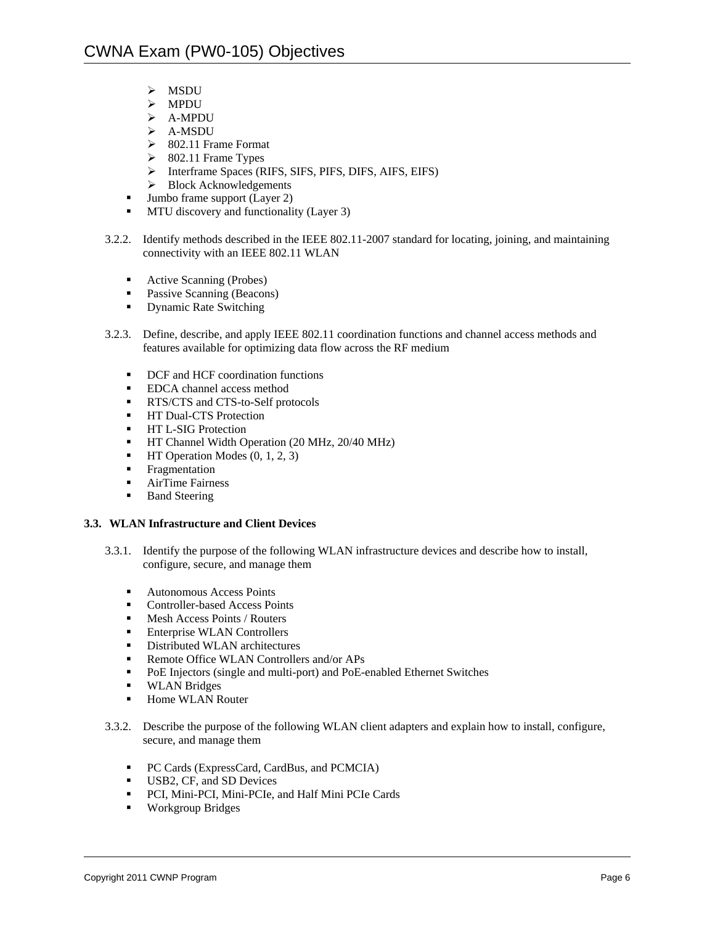- $>$  MSDU
- MPDU
- A-MPDU
- A-MSDU
- $\geq$  802.11 Frame Format
- $\geq$  802.11 Frame Types
- Interframe Spaces (RIFS, SIFS, PIFS, DIFS, AIFS, EIFS)
- $\triangleright$  Block Acknowledgements
- Jumbo frame support (Layer 2)
- **MTU** discovery and functionality (Layer 3)
- 3.2.2. Identify methods described in the IEEE 802.11-2007 standard for locating, joining, and maintaining connectivity with an IEEE 802.11 WLAN
	- Active Scanning (Probes)
	- Passive Scanning (Beacons)
	- **•** Dynamic Rate Switching
- 3.2.3. Define, describe, and apply IEEE 802.11 coordination functions and channel access methods and features available for optimizing data flow across the RF medium
	- DCF and HCF coordination functions
	- **EDCA** channel access method
	- **RTS/CTS** and CTS-to-Self protocols
	- **HT Dual-CTS Protection**
	- **HT L-SIG Protection**
	- **HT Channel Width Operation (20 MHz, 20/40 MHz)**
	- $\blacksquare$  HT Operation Modes  $(0, 1, 2, 3)$
	- **Fragmentation**
	- **AirTime Fairness**
	- **Band Steering**

### **3.3. WLAN Infrastructure and Client Devices**

- 3.3.1. Identify the purpose of the following WLAN infrastructure devices and describe how to install, configure, secure, and manage them
	- Autonomous Access Points
	- Controller-based Access Points
	- $M$ esh Access Points / Routers
	- Enterprise WLAN Controllers
	- Distributed WLAN architectures<br>■ Remote Office WLAN Controller
	- Remote Office WLAN Controllers and/or APs<br>PoE Injectors (single and multi-port) and PoE-
	- PoE Injectors (single and multi-port) and PoE-enabled Ethernet Switches
	- **WLAN Bridges**
	- Home WLAN Router
- 3.3.2. Describe the purpose of the following WLAN client adapters and explain how to install, configure, secure, and manage them
	- **PC Cards (ExpressCard, CardBus, and PCMCIA)**
	- USB2, CF, and SD Devices
	- PCI, Mini-PCI, Mini-PCIe, and Half Mini PCIe Cards
	- **Workgroup Bridges**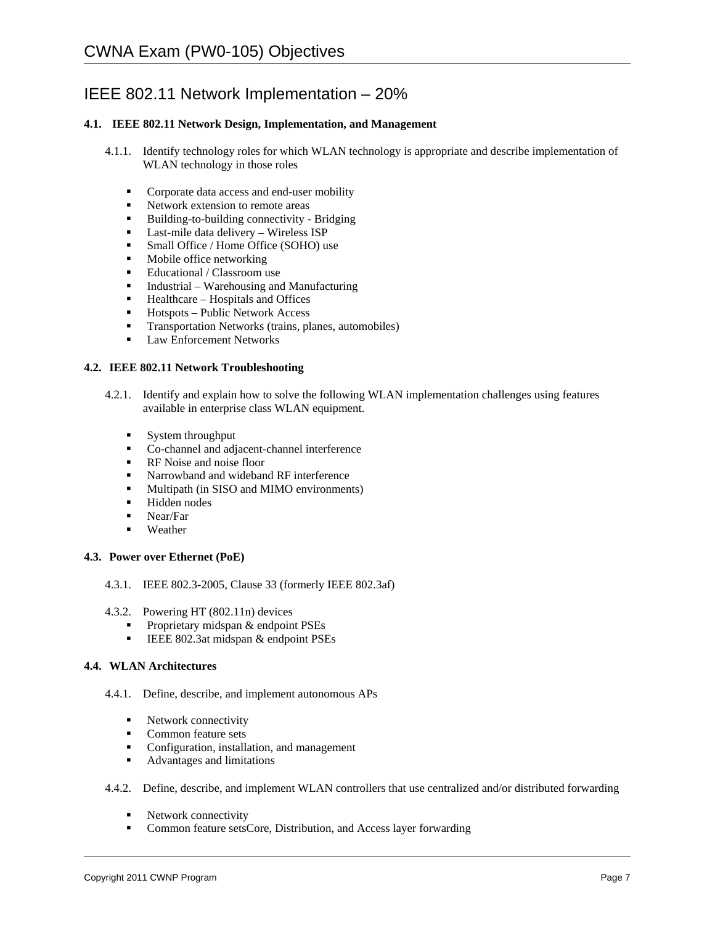# IEEE 802.11 Network Implementation – 20%

# **4.1. IEEE 802.11 Network Design, Implementation, and Management**

- 4.1.1. Identify technology roles for which WLAN technology is appropriate and describe implementation of WLAN technology in those roles
	- **Corporate data access and end-user mobility**
	- Network extension to remote areas
	- Building-to-building connectivity Bridging
	- Last-mile data delivery Wireless ISP
	- **Small Office / Home Office (SOHO) use**
	- **Mobile office networking**
	- Educational / Classroom use
	- $\blacksquare$  Industrial Warehousing and Manufacturing
	- $\blacksquare$  Healthcare Hospitals and Offices
	- $\blacksquare$  Hotspots Public Network Access
	- **Transportation Networks (trains, planes, automobiles)**
	- **Law Enforcement Networks**

### **4.2. IEEE 802.11 Network Troubleshooting**

- 4.2.1. Identify and explain how to solve the following WLAN implementation challenges using features available in enterprise class WLAN equipment.
	- System throughput
	- Co-channel and adjacent-channel interference<br>■ RF Noise and noise floor
	- RF Noise and noise floor
	- Narrowband and wideband RF interference
	- **Multipath (in SISO and MIMO environments)**
	- **Hidden** nodes
	- Near/Far
	- **Weather**

### **4.3. Power over Ethernet (PoE)**

- 4.3.1. IEEE 802.3-2005, Clause 33 (formerly IEEE 802.3af)
- 4.3.2. Powering HT (802.11n) devices
	- Proprietary midspan  $&$  endpoint PSEs
	- **IEEE 802.3at midspan & endpoint PSEs**

### **4.4. WLAN Architectures**

- 4.4.1. Define, describe, and implement autonomous APs
	- Network connectivity
	- Common feature sets
	- Configuration, installation, and management
	- Advantages and limitations

### 4.4.2. Define, describe, and implement WLAN controllers that use centralized and/or distributed forwarding

- **Network connectivity**
- Common feature setsCore, Distribution, and Access layer forwarding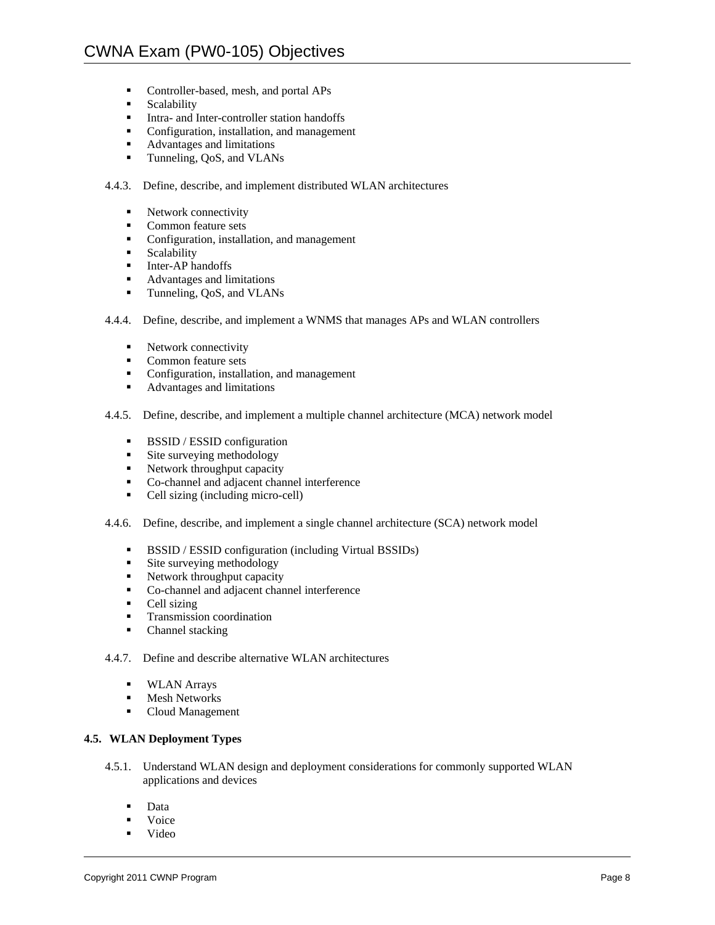- **Controller-based, mesh, and portal APs**
- Scalability<br>Intra- and I
- Intra- and Inter-controller station handoffs
- Configuration, installation, and management
- Advantages and limitations
- **Tunneling, QoS, and VLANs**

# 4.4.3. Define, describe, and implement distributed WLAN architectures

- Network connectivity
- Common feature sets
- Configuration, installation, and management<br>• Scalability
- Scalability
- $\blacksquare$  Inter-AP handoffs
- Advantages and limitations
- **Tunneling, QoS, and VLANs**
- 4.4.4. Define, describe, and implement a WNMS that manages APs and WLAN controllers
	- Network connectivity
	- **Common feature sets**
	- Configuration, installation, and management
	- Advantages and limitations

4.4.5. Define, describe, and implement a multiple channel architecture (MCA) network model

- **BSSID** / **ESSID** configuration
- **Site surveying methodology**
- **Network throughput capacity**
- Co-channel and adjacent channel interference
- Cell sizing (including micro-cell)
- 4.4.6. Define, describe, and implement a single channel architecture (SCA) network model
	- **BSSID** / ESSID configuration (including Virtual BSSIDs)
	- **Site surveying methodology**
	- Network throughput capacity
	- Co-channel and adjacent channel interference
	- Cell sizing
	- **Transmission coordination**
	- Channel stacking

4.4.7. Define and describe alternative WLAN architectures

- **WLAN Arrays**
- **Mesh Networks**
- Cloud Management

# **4.5. WLAN Deployment Types**

- 4.5.1. Understand WLAN design and deployment considerations for commonly supported WLAN applications and devices
	- **Data**
	- Voice
	- Video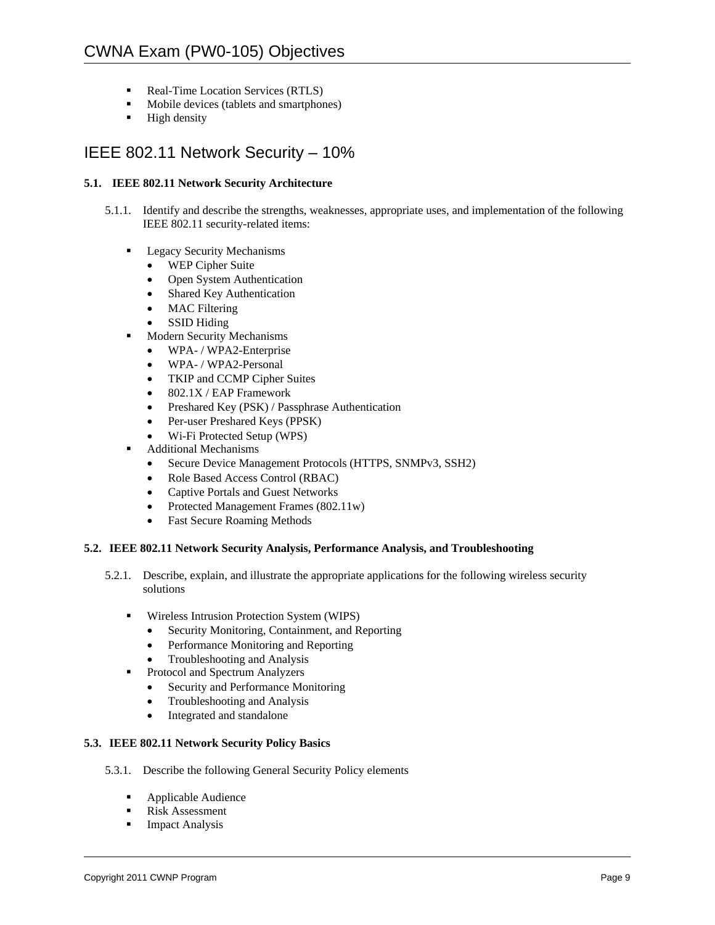- Real-Time Location Services (RTLS)
- **Mobile devices (tablets and smartphones)**
- $\blacksquare$  High density

# IEEE 802.11 Network Security – 10%

# **5.1. IEEE 802.11 Network Security Architecture**

- 5.1.1. Identify and describe the strengths, weaknesses, appropriate uses, and implementation of the following IEEE 802.11 security-related items:
	- **Legacy Security Mechanisms** 
		- WEP Cipher Suite
		- Open System Authentication
		- Shared Key Authentication
		- MAC Filtering
		- SSID Hiding
	- **Modern Security Mechanisms** 
		- WPA-/WPA2-Enterprise
		- WPA- / WPA2-Personal
		- TKIP and CCMP Cipher Suites
		- 802.1X / EAP Framework
		- Preshared Key (PSK) / Passphrase Authentication
		- Per-user Preshared Keys (PPSK)
		- Wi-Fi Protected Setup (WPS)
	- Additional Mechanisms
		- Secure Device Management Protocols (HTTPS, SNMPv3, SSH2)
		- Role Based Access Control (RBAC)
		- Captive Portals and Guest Networks
		- Protected Management Frames (802.11w)
		- Fast Secure Roaming Methods

### **5.2. IEEE 802.11 Network Security Analysis, Performance Analysis, and Troubleshooting**

- 5.2.1. Describe, explain, and illustrate the appropriate applications for the following wireless security solutions
	- Wireless Intrusion Protection System (WIPS)
		- Security Monitoring, Containment, and Reporting
		- Performance Monitoring and Reporting
		- Troubleshooting and Analysis
		- Protocol and Spectrum Analyzers
		- Security and Performance Monitoring
		- Troubleshooting and Analysis
		- Integrated and standalone

### **5.3. IEEE 802.11 Network Security Policy Basics**

- 5.3.1. Describe the following General Security Policy elements
	- **Applicable Audience**
	- Risk Assessment
	- **Impact Analysis**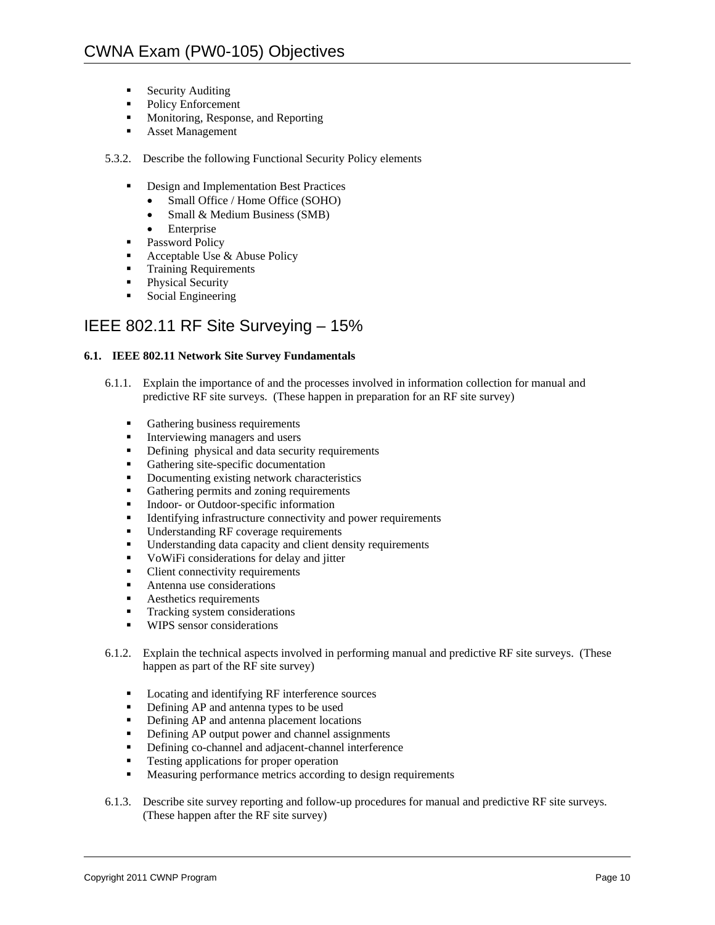- **Security Auditing**
- Policy Enforcement
- Monitoring, Response, and Reporting
- **Asset Management**
- 5.3.2. Describe the following Functional Security Policy elements
	- **•** Design and Implementation Best Practices
		- Small Office / Home Office (SOHO)
		- Small & Medium Business (SMB)
		- Enterprise
	- Password Policy
	- Acceptable Use  $&$  Abuse Policy
	- **Training Requirements**
	- Physical Security
	- **Social Engineering**

# IEEE 802.11 RF Site Surveying – 15%

# **6.1. IEEE 802.11 Network Site Survey Fundamentals**

- 6.1.1. Explain the importance of and the processes involved in information collection for manual and predictive RF site surveys. (These happen in preparation for an RF site survey)
	- Gathering business requirements<br>Interviewing managers and users
	- Interviewing managers and users
	- Defining physical and data security requirements
	- Gathering site-specific documentation
	- Documenting existing network characteristics
	- Gathering permits and zoning requirements
	- **Indoor-** or Outdoor-specific information
	- Identifying infrastructure connectivity and power requirements
	- **Understanding RF coverage requirements**
	- Understanding data capacity and client density requirements
	- VoWiFi considerations for delay and jitter
	- Client connectivity requirements
	- **Antenna use considerations**
	- **Aesthetics requirements**
	- **Tracking system considerations**
	- **WIPS** sensor considerations
- 6.1.2. Explain the technical aspects involved in performing manual and predictive RF site surveys. (These happen as part of the RF site survey)
	- **Locating and identifying RF interference sources**
	- Defining AP and antenna types to be used<br>■ Defining AP and antenna placement locati
	- Defining AP and antenna placement locations
	- Defining AP output power and channel assignments<br>• Defining co-channel and adiacent-channel interferent
	- Defining co-channel and adjacent-channel interference
	- Testing applications for proper operation
	- **Measuring performance metrics according to design requirements**
- 6.1.3. Describe site survey reporting and follow-up procedures for manual and predictive RF site surveys. (These happen after the RF site survey)